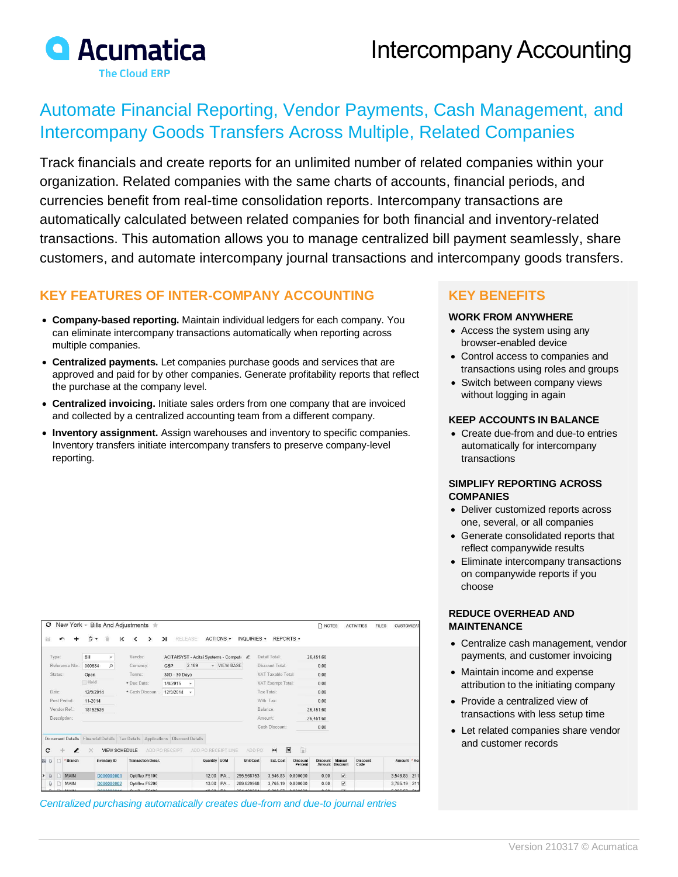

# Intercompany Accounting

# Automate Financial Reporting, Vendor Payments, Cash Management, and Intercompany Goods Transfers Across Multiple, Related Companies

Track financials and create reports for an unlimited number of related companies within your organization. Related companies with the same charts of accounts, financial periods, and currencies benefit from real-time consolidation reports. Intercompany transactions are automatically calculated between related companies for both financial and inventory-related transactions. This automation allows you to manage centralized bill payment seamlessly, share customers, and automate intercompany journal transactions and intercompany goods transfers.

## **KEY FEATURES OF INTER-COMPANY ACCOUNTING**

- **Company-based reporting.** Maintain individual ledgers for each company. You can eliminate intercompany transactions automatically when reporting across multiple companies.
- **Centralized payments.** Let companies purchase goods and services that are approved and paid for by other companies. Generate profitability reports that reflect the purchase at the company level.
- **Centralized invoicing.** Initiate sales orders from one company that are invoiced and collected by a centralized accounting team from a different company.
- **Inventory assignment.** Assign warehouses and inventory to specific companies. Inventory transfers initiate intercompany transfers to preserve company-level reporting.

| o     |                                     |        | New York ~ Bills And Adjustments $\pm$ |                 |                                                                   |               |   |                                                      |                              |   |               |                                         |                |                     |           |                   |                    |                   |                            | n NOTES   |                           | <b>ACTIVITIES</b>       | <b>FILES</b>       | <b>CUSTOMIZA</b> |  |
|-------|-------------------------------------|--------|----------------------------------------|-----------------|-------------------------------------------------------------------|---------------|---|------------------------------------------------------|------------------------------|---|---------------|-----------------------------------------|----------------|---------------------|-----------|-------------------|--------------------|-------------------|----------------------------|-----------|---------------------------|-------------------------|--------------------|------------------|--|
| a     |                                     |        |                                        | n               | $\cdot$                                                           | 宣             | к |                                                      | $\left\langle \right\rangle$ | ゝ |               | $\geq$                                  | <b>RELEASE</b> |                     | ACTIONS - | INQUIRIES +       |                    | REPORTS +         |                            |           |                           |                         |                    |                  |  |
| Type: |                                     |        |                                        | Bill<br>$\star$ |                                                                   |               |   | Vendor:                                              |                              |   |               | ACITAISYST - Acitai Systems - Computi & |                |                     |           |                   |                    | Detail Total:     |                            | 26,451.60 |                           |                         |                    |                  |  |
|       | Reference Nbr.:<br>Status:<br>Date: |        |                                        |                 | Q<br>000684<br>Open<br>Hold<br>12/9/2014                          |               |   | Currency:<br>Terms:<br>* Due Date:<br>* Cash Discoun |                              |   | GBP           |                                         | 2.189          | - VIEW BASE         |           |                   | Discount Total:    |                   | 0.00                       |           |                           |                         |                    |                  |  |
|       |                                     |        |                                        |                 |                                                                   |               |   |                                                      |                              |   | 30D - 30 Days |                                         |                |                     |           |                   | VAT Taxable Total: |                   | 0.00                       |           |                           |                         |                    |                  |  |
|       |                                     |        |                                        |                 |                                                                   |               |   |                                                      |                              |   | 1/8/2015      |                                         |                |                     |           | VAT Exempt Total: |                    |                   | 0.00                       |           |                           |                         |                    |                  |  |
|       |                                     |        |                                        |                 |                                                                   |               |   |                                                      |                              |   | 12/9/2014     | $\rightarrow$                           |                |                     |           | Tax Total:        |                    |                   | 0.00                       |           |                           |                         |                    |                  |  |
|       | Post Period:                        |        |                                        |                 | 11-2014                                                           |               |   |                                                      |                              |   |               |                                         |                |                     |           |                   | With Tax:          |                   | 0.00                       |           |                           |                         |                    |                  |  |
|       | Vendor Ref.:                        |        |                                        |                 | 18152536                                                          |               |   |                                                      | Balance:                     |   |               |                                         |                |                     |           |                   | 26.451.60          |                   |                            |           |                           |                         |                    |                  |  |
|       | Description:                        |        |                                        |                 |                                                                   |               |   |                                                      |                              |   |               |                                         |                |                     | Amount:   |                   |                    | 26.451.60         |                            |           |                           |                         |                    |                  |  |
|       |                                     |        |                                        |                 |                                                                   |               |   |                                                      |                              |   |               |                                         |                |                     |           |                   |                    | Cash Discount:    |                            | 0.00      |                           |                         |                    |                  |  |
|       | Document Details                    |        |                                        |                 | Financial Details   Tax Details   Applications   Discount Details |               |   |                                                      |                              |   |               |                                         |                |                     |           |                   |                    |                   |                            |           |                           |                         |                    |                  |  |
| c     |                                     |        | $\boldsymbol{\ell}$                    | ×               |                                                                   | VIEW SCHEDULE |   |                                                      |                              |   |               | ADD PO RECEIPT                          |                | ADD PO RECEIPT LINE |           |                   | ADD PO             | $\mathbb{H}$      | $\blacksquare$<br>量        |           |                           |                         |                    |                  |  |
| 围     | $\mathbb{Q}$                        | D      | * Branch                               |                 |                                                                   | Inventory ID  |   |                                                      | <b>Transaction Descr.</b>    |   |               |                                         |                | Quantity UOM        |           |                   | <b>Unit Cost</b>   | Ext. Cost         | <b>Discount</b><br>Percent | Discount  | Manual<br>Amount Discount | <b>Discount</b><br>Code |                    | Amount * Ac      |  |
| l>    | $\theta$                            | $\Box$ | MAIN                                   |                 |                                                                   | D000000001    |   |                                                      | Optiflex F5100               |   |               |                                         |                | 12.00               | <b>PA</b> | 295.568753        |                    | 3.546.83          | 0.000000                   | 0.00      | $\overline{\mathbf{v}}$   |                         |                    | 3,546.83 211     |  |
|       | a                                   | n      | MAIN                                   |                 |                                                                   | D000000002    |   |                                                      | Optiflex F5200               |   |               |                                         |                |                     | 13.00 PA  | 289.629968        |                    |                   | 3,765.19 0.000000          | 0.00      | $\overline{\mathbf{M}}$   |                         |                    | 3,765.19 211     |  |
|       |                                     |        | <b>MAIN</b>                            |                 | <b>DO0000044</b>                                                  |               |   | Optilov EC100                                        |                              |   |               |                                         | 10.00 DA       |                     | 304.40924 |                   |                    | 5.395.57 0.000000 | 0.00                       | ma.       |                           |                         | <b>CODE E7 044</b> |                  |  |

*Centralized purchasing automatically creates due-from and due-to journal entries*

### **KEY BENEFITS**

### **WORK FROM ANYWHERE**

- Access the system using any browser-enabled device
- Control access to companies and transactions using roles and groups
- Switch between company views without logging in again

### **KEEP ACCOUNTS IN BALANCE**

• Create due-from and due-to entries automatically for intercompany transactions

#### **SIMPLIFY REPORTING ACROSS COMPANIES**

- Deliver customized reports across one, several, or all companies
- Generate consolidated reports that reflect companywide results
- Eliminate intercompany transactions on companywide reports if you choose

#### **REDUCE OVERHEAD AND MAINTENANCE**

- Centralize cash management, vendor payments, and customer invoicing
- Maintain income and expense attribution to the initiating company
- Provide a centralized view of transactions with less setup time
- Let related companies share vendor and customer records